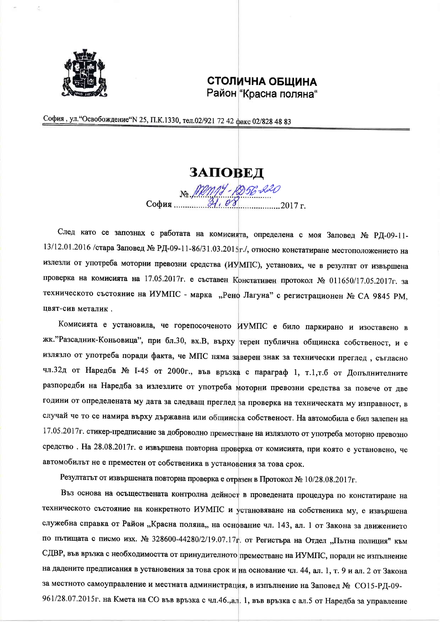

## СТОЛИЧНА ОБЩИНА Район "Красна поляна"

София, ул. "Освобождение" N 25, П.К.1330, тел.02/921 72 42 факс 02/828 48 83

## ЗАПОВЕД

No MM14-1256-220 

След като се запознах с работата на комисията, определена с моя Заповед № РД-09-11-13/12.01.2016 /стара Заповед № РД-09-11-86/31.03.2015г./, относно констатиране местоположението на излезли от употреба моторни превозни средства (ИУМПС), установих, че в резултат от извършена проверка на комисията на 17.05.2017г. е съставен Констативен протокол № 011650/17.05.2017г. за техническото състояние на ИУМПС - марка "Рено Лагуна" с регистрационен № СА 9845 РМ, цвят-сив металик.

Комисията е установила, че горепосоченото ИУМПС е било паркирано и изоставено в жк."Разсадник-Коньовица", при бл.30, вх.В, върху терен публична общинска собственост, и е излязло от употреба поради факта, че МПС няма заверен знак за технически преглед, съгласно чл.32д от Наредба № 1-45 от 2000г., във връзка с параграф 1, т.1,т.б от Допълнителните разпоредби на Наредба за излезлите от употреба моторни превозни средства за повече от две години от определената му дата за следващ преглед за проверка на техническата му изправност, в случай че то се намира върху държавна или общинска собственост. На автомобила е бил залепен на 17.05.2017г. стикер-предписание за доброволно преместване на излязлото от употреба моторно превозно средство. На 28.08.2017г. е извършена повторна проверка от комисията, при която е установено, че автомобилът не е преместен от собственика в установения за това срок.

Резултатът от извършената повторна проверка е отразен в Протокол № 10/28.08.2017г.

Въз основа на осъществената контролна дейност в проведената процедура по констатиране на техническото състояние на конкретното ИУМПС и установяване на собственика му, е извършена служебна справка от Район "Красна поляна,, на основание чл. 143, ал. 1 от Закона за движението по пътищата с писмо изх. № 328600-44280/2/19.07.17г. от Регистъра на Отдел "Пътна полиция" към СДВР, във връзка с необходимостта от принудителното преместване на ИУМПС, поради не изпълнение на дадените предписания в установения за това срок и на основание чл. 44, ал. 1, т. 9 и ал. 2 от Закона за местното самоуправление и местната администрация, в изпълнение на Заповед № СО15-РД-09-961/28.07.2015г. на Кмета на СО във връзка с чл.46.,ал. 1, във връзка с ал.5 от Наредба за управление